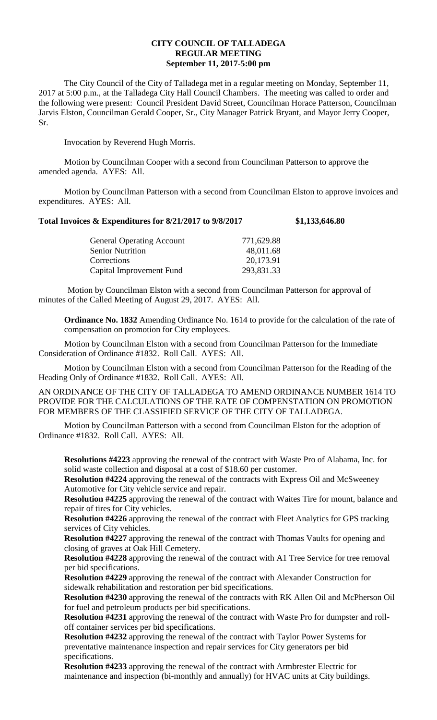## **CITY COUNCIL OF TALLADEGA REGULAR MEETING September 11, 2017-5:00 pm**

The City Council of the City of Talladega met in a regular meeting on Monday, September 11, 2017 at 5:00 p.m., at the Talladega City Hall Council Chambers. The meeting was called to order and the following were present: Council President David Street, Councilman Horace Patterson, Councilman Jarvis Elston, Councilman Gerald Cooper, Sr., City Manager Patrick Bryant, and Mayor Jerry Cooper, Sr.

Invocation by Reverend Hugh Morris.

Motion by Councilman Cooper with a second from Councilman Patterson to approve the amended agenda. AYES: All.

Motion by Councilman Patterson with a second from Councilman Elston to approve invoices and expenditures. AYES: All.

## **Total Invoices & Expenditures for 8/21/2017 to 9/8/2017 \$1,133,646.80**

| <b>General Operating Account</b> | 771,629.88 |
|----------------------------------|------------|
| <b>Senior Nutrition</b>          | 48,011.68  |
| Corrections                      | 20,173.91  |
| Capital Improvement Fund         | 293,831.33 |

Motion by Councilman Elston with a second from Councilman Patterson for approval of minutes of the Called Meeting of August 29, 2017. AYES: All.

**Ordinance No. 1832** Amending Ordinance No. 1614 to provide for the calculation of the rate of compensation on promotion for City employees.

Motion by Councilman Elston with a second from Councilman Patterson for the Immediate Consideration of Ordinance #1832. Roll Call. AYES: All.

Motion by Councilman Elston with a second from Councilman Patterson for the Reading of the Heading Only of Ordinance #1832. Roll Call. AYES: All.

AN ORDINANCE OF THE CITY OF TALLADEGA TO AMEND ORDINANCE NUMBER 1614 TO PROVIDE FOR THE CALCULATIONS OF THE RATE OF COMPENSTATION ON PROMOTION FOR MEMBERS OF THE CLASSIFIED SERVICE OF THE CITY OF TALLADEGA.

Motion by Councilman Patterson with a second from Councilman Elston for the adoption of Ordinance #1832. Roll Call. AYES: All.

**Resolutions #4223** approving the renewal of the contract with Waste Pro of Alabama, Inc. for solid waste collection and disposal at a cost of \$18.60 per customer.

**Resolution #4224** approving the renewal of the contracts with Express Oil and McSweeney Automotive for City vehicle service and repair.

**Resolution #4225** approving the renewal of the contract with Waites Tire for mount, balance and repair of tires for City vehicles.

**Resolution #4226** approving the renewal of the contract with Fleet Analytics for GPS tracking services of City vehicles.

**Resolution #4227** approving the renewal of the contract with Thomas Vaults for opening and closing of graves at Oak Hill Cemetery.

**Resolution #4228** approving the renewal of the contract with A1 Tree Service for tree removal per bid specifications.

**Resolution #4229** approving the renewal of the contract with Alexander Construction for sidewalk rehabilitation and restoration per bid specifications.

**Resolution #4230** approving the renewal of the contracts with RK Allen Oil and McPherson Oil for fuel and petroleum products per bid specifications.

**Resolution #4231** approving the renewal of the contract with Waste Pro for dumpster and rolloff container services per bid specifications.

**Resolution #4232** approving the renewal of the contract with Taylor Power Systems for preventative maintenance inspection and repair services for City generators per bid specifications.

**Resolution #4233** approving the renewal of the contract with Armbrester Electric for maintenance and inspection (bi-monthly and annually) for HVAC units at City buildings.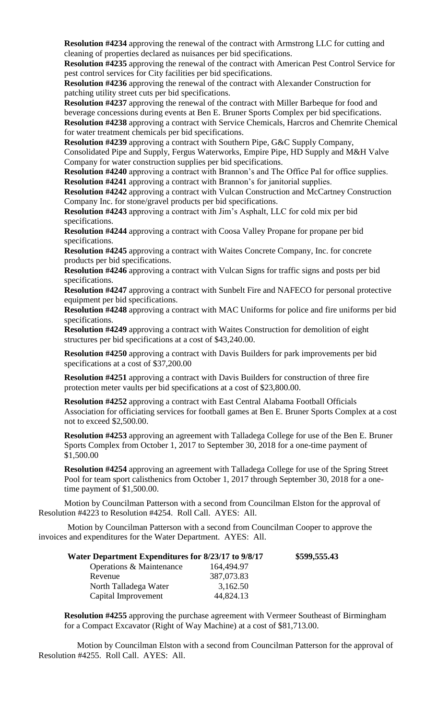**Resolution #4234** approving the renewal of the contract with Armstrong LLC for cutting and cleaning of properties declared as nuisances per bid specifications.

**Resolution #4235** approving the renewal of the contract with American Pest Control Service for pest control services for City facilities per bid specifications.

**Resolution #4236** approving the renewal of the contract with Alexander Construction for patching utility street cuts per bid specifications.

**Resolution #4237** approving the renewal of the contract with Miller Barbeque for food and beverage concessions during events at Ben E. Bruner Sports Complex per bid specifications. **Resolution #4238** approving a contract with Service Chemicals, Harcros and Chemrite Chemical for water treatment chemicals per bid specifications.

**Resolution #4239** approving a contract with Southern Pipe, G&C Supply Company,

Consolidated Pipe and Supply, Fergus Waterworks, Empire Pipe, HD Supply and M&H Valve Company for water construction supplies per bid specifications.

**Resolution #4240** approving a contract with Brannon's and The Office Pal for office supplies. **Resolution #4241** approving a contract with Brannon's for janitorial supplies.

**Resolution #4242** approving a contract with Vulcan Construction and McCartney Construction Company Inc. for stone/gravel products per bid specifications.

**Resolution #4243** approving a contract with Jim's Asphalt, LLC for cold mix per bid specifications.

**Resolution #4244** approving a contract with Coosa Valley Propane for propane per bid specifications.

**Resolution #4245** approving a contract with Waites Concrete Company, Inc. for concrete products per bid specifications.

**Resolution #4246** approving a contract with Vulcan Signs for traffic signs and posts per bid specifications.

**Resolution #4247** approving a contract with Sunbelt Fire and NAFECO for personal protective equipment per bid specifications.

**Resolution #4248** approving a contract with MAC Uniforms for police and fire uniforms per bid specifications.

**Resolution #4249** approving a contract with Waites Construction for demolition of eight structures per bid specifications at a cost of \$43,240.00.

**Resolution #4250** approving a contract with Davis Builders for park improvements per bid specifications at a cost of \$37,200.00

**Resolution #4251** approving a contract with Davis Builders for construction of three fire protection meter vaults per bid specifications at a cost of \$23,800.00.

**Resolution #4252** approving a contract with East Central Alabama Football Officials Association for officiating services for football games at Ben E. Bruner Sports Complex at a cost not to exceed \$2,500.00.

**Resolution #4253** approving an agreement with Talladega College for use of the Ben E. Bruner Sports Complex from October 1, 2017 to September 30, 2018 for a one-time payment of \$1,500.00

**Resolution #4254** approving an agreement with Talladega College for use of the Spring Street Pool for team sport calisthenics from October 1, 2017 through September 30, 2018 for a onetime payment of \$1,500.00.

Motion by Councilman Patterson with a second from Councilman Elston for the approval of Resolution #4223 to Resolution #4254. Roll Call. AYES: All.

Motion by Councilman Patterson with a second from Councilman Cooper to approve the invoices and expenditures for the Water Department. AYES: All.

| Water Department Expenditures for 8/23/17 to 9/8/17 |            | \$599,555.43 |
|-----------------------------------------------------|------------|--------------|
| Operations & Maintenance                            | 164,494.97 |              |
| Revenue                                             | 387,073.83 |              |
| North Talladega Water                               | 3,162.50   |              |
| Capital Improvement                                 | 44,824.13  |              |

**Resolution #4255** approving the purchase agreement with Vermeer Southeast of Birmingham for a Compact Excavator (Right of Way Machine) at a cost of \$81,713.00.

Motion by Councilman Elston with a second from Councilman Patterson for the approval of Resolution #4255. Roll Call. AYES: All.